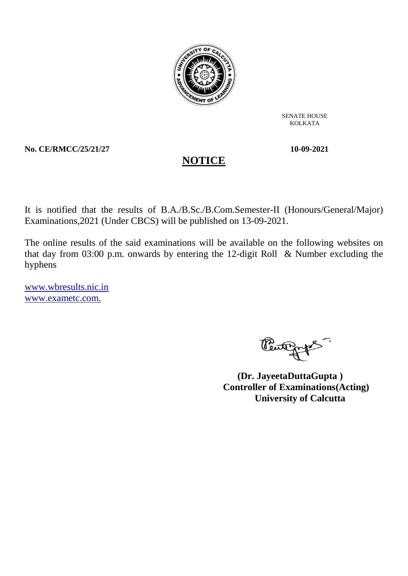

SENATE HOUSE KOLKATA

**No. CE/RMCC/25/21/27 10-09-2021**

It is notified that the results of B.A./B.Sc./B.Com.Semester-II (Honours/General/Major) Examinations,2021 (Under CBCS) will be published on 13-09-2021.

**NOTICE**

The online results of the said examinations will be available on the following websites on that day from 03:00 p.m. onwards by entering the 12-digit Roll & Number excluding the hyphens

www.wbresults.nic.in www.exametc.com.

Peutgaps.

 **(Dr. JayeetaDuttaGupta ) Controller of Examinations(Acting) University of Calcutta**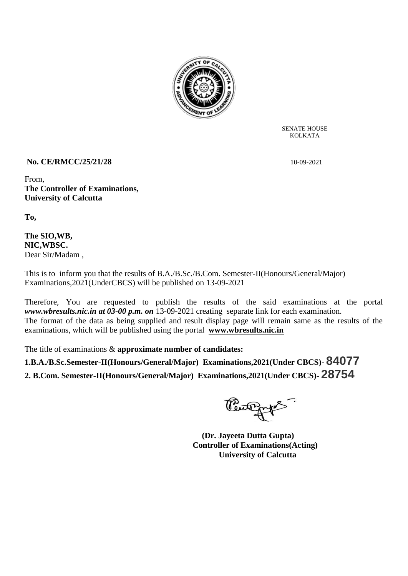

SENATE HOUSE KOLKATA

# **No. CE/RMCC/25/21/28** 10-09-2021

From, **The Controller of Examinations, University of Calcutta**

**To,**

## **The SIO,WB, NIC,WBSC.** Dear Sir/Madam ,

This is to inform you that the results of B.A./B.Sc./B.Com. Semester-II(Honours/General/Major) Examinations,2021(UnderCBCS) will be published on 13-09-2021

Therefore, You are requested to publish the results of the said examinations at the portal *www.wbresults.nic.in at 03-00 p.m. on* 13-09-2021 creating separate link for each examination. The format of the data as being supplied and result display page will remain same as the results of the examinations, which will be published using the portal **www.wbresults.nic.in**

The title of examinations & **approximate number of candidates:**

**1.B.A./B.Sc.Semester-II(Honours/General/Major) Examinations,2021(Under CBCS)- 84077 2. B.Com. Semester-II(Honours/General/Major) Examinations,2021(Under CBCS)- 28754**

Penting 15

 **(Dr. Jayeeta Dutta Gupta) Controller of Examinations(Acting) University of Calcutta**